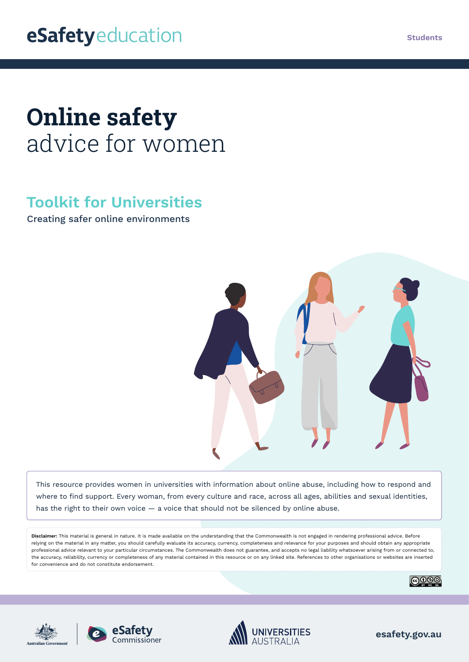# **Online safety**  advice for women

# **Toolkit for Universities**

Creating safer online environments



This resource provides women in universities with information about online abuse, including how to respond and where to find support. Every woman, from every culture and race, across all ages, abilities and sexual identities, has the right to their own voice — a voice that should not be silenced by online abuse.

**Disclaimer:** This material is general in nature. It is made available on the understanding that the Commonwealth is not engaged in rendering professional advice. Before relying on the material in any matter, you should carefully evaluate its accuracy, currency, completeness and relevance for your purposes and should obtain any appropriate professional advice relevant to your particular circumstances. The Commonwealth does not guarantee, and accepts no legal liability whatsoever arising from or connected to, the accuracy, reliability, currency or completeness of any material contained in this resource or on any linked site. References to other organisations or websites are inserted for convenience and do not constitute endorsement.









**esafety.gov.au**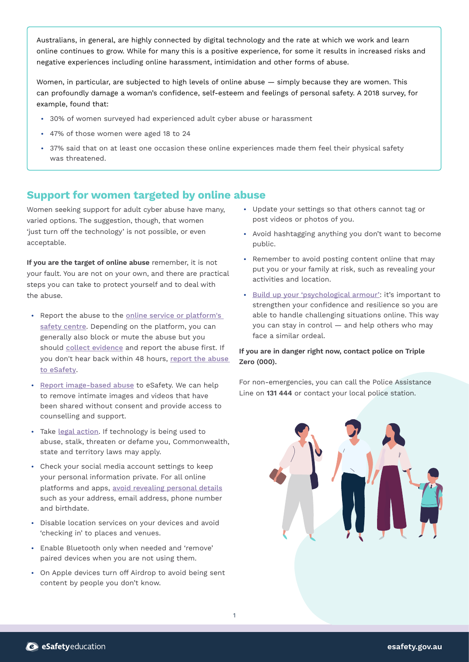Australians, in general, are highly connected by digital technology and the rate at which we work and learn online continues to grow. While for many this is a positive experience, for some it results in increased risks and negative experiences including online harassment, intimidation and other forms of abuse.

Women, in particular, are subjected to high levels of online abuse — simply because they are women. This can profoundly damage a woman's confidence, self-esteem and feelings of personal safety. A [2018 survey,](https://www.amnesty.org.au/australia-poll-reveals-alarming-impact-online-abuse-women/) for example, found that:

- **•** 30% of women surveyed had experienced adult cyber abuse or harassment
- **•** 47% of those women were aged 18 to 24
- **•** 37% said that on at least one occasion these online experiences made them feel their physical safety was threatened.

## **Support for women targeted by online abuse**

Women seeking support for adult cyber abuse have many, varied options. The suggestion, though, that women 'just turn off the technology' is not possible, or even acceptable.

**If you are the target of online abuse** remember, it is not your fault. You are not on your own, and there are practical steps you can take to protect yourself and to deal with the abuse.

- **•** Report the abuse to the [online service or platform's](https://www.esafety.gov.au/key-issues/esafety-guide)  [safety centre](https://www.esafety.gov.au/key-issues/esafety-guide). Depending on the platform, you can generally also block or mute the abuse but you should [collect evidence](https://www.esafety.gov.au/key-issues/how-to/collect-evidence) and report the abuse first. If you don't hear back within 48 hours, [report the abuse](https://www.esafety.gov.au/report)  [to eSafety](https://www.esafety.gov.au/report).
- **•** [Report image-based abuse](http://www.esafety.gov.au/image-based-abuse) to eSafety. We can help to remove intimate images and videos that have been shared without consent and provide access to counselling and support.
- **•** Take [legal action](https://www.esafety.gov.au/key-issues/domestic-family-violence/help-support). If technology is being used to abuse, stalk, threaten or defame you, Commonwealth, state and territory laws may apply.
- **•** Check your social media account settings to keep your personal information private. For all online platforms and apps, [avoid revealing personal details](https://www.esafety.gov.au/women/using-your-device-safely) such as your address, email address, phone number and birthdate.
- **•** Disable location services on your devices and avoid 'checking in' to places and venues.
- **•** Enable Bluetooth only when needed and 'remove' paired devices when you are not using them.
- **•** On Apple devices turn off Airdrop to avoid being sent content by people you don't know.
- **•** Update your settings so that others cannot tag or post videos or photos of you.
- **•** Avoid hashtagging anything you don't want to become public.
- **•** Remember to avoid posting content online that may put you or your family at risk, such as revealing your activities and location.
- **•** [Build up your 'psychological armour'](https://www.esafety.gov.au/women/women-influencing-tech-spaces/psychological-armour): it's important to strengthen your confidence and resilience so you are able to handle challenging situations online. This way you can stay in control — and help others who may face a similar ordeal.

#### **If you are in danger right now, contact police on Triple Zero (000).**

For non-emergencies, you can call the Police Assistance Line on **131 444** or contact your local police station.